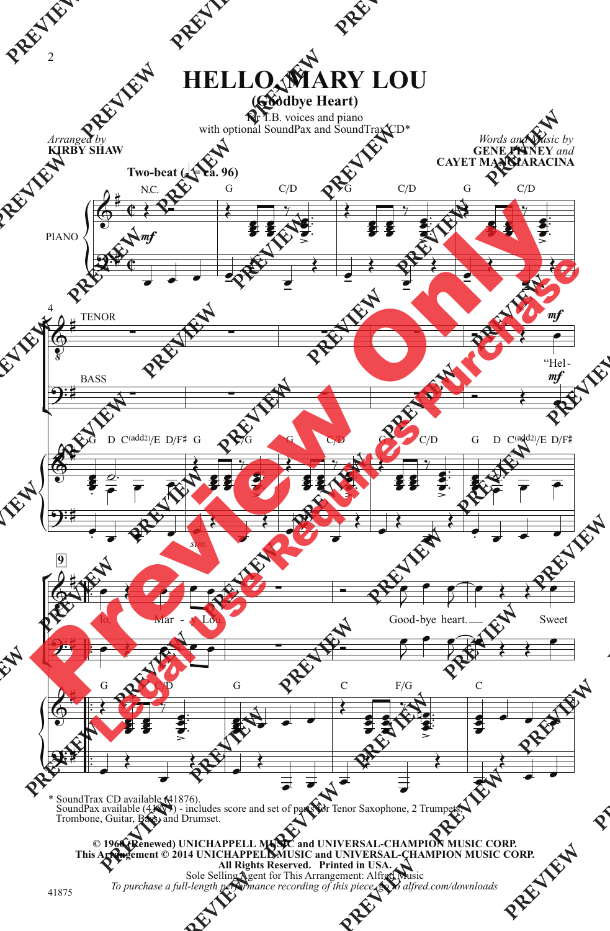

for T.B. voices and piano **(Goodbye Heart)**

with optional SoundPax and SoundTrax CD\*

*Arranged by* **KIRBY SHAW**

*Words and Music by* **GENE PITNEY** *and* **CAYET MANGIARACINA**



\* SoundTrax CD available (41876). SoundPax available (41877) - includes score and set of parts for Tenor Saxophone, 2 Trumpets, Trombone, Guitar, Bass, and Drumset.

**© 1960 (Renewed) UNICHAPPELL MUSIC and UNIVERSAL-CHAMPION MUSIC CORP. This Arrangement © 2014 UNICHAPPELL MUSIC and UNIVERSAL-CHAMPION MUSIC CORP. All Rights Reserved. Printed in USA.**

Sole Selling Agent for This Arrangement: Alfred Music *To purchase a full-length performance recording of this piece, go to alfred.com/downloads*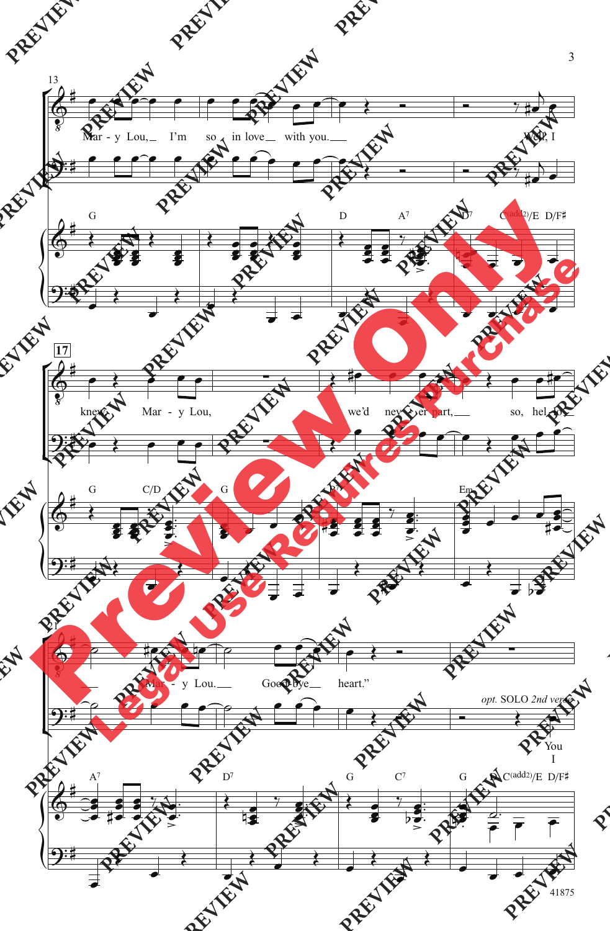

3

41875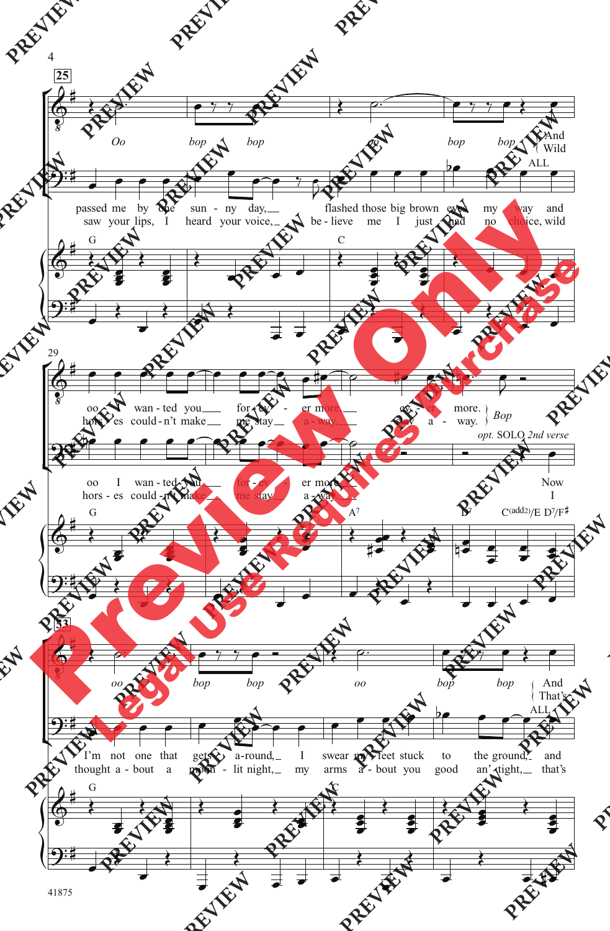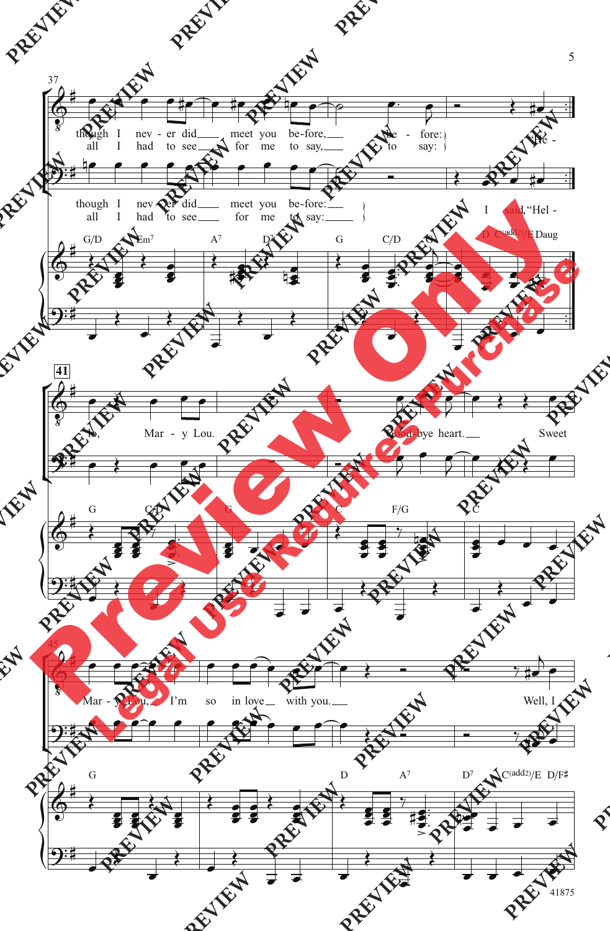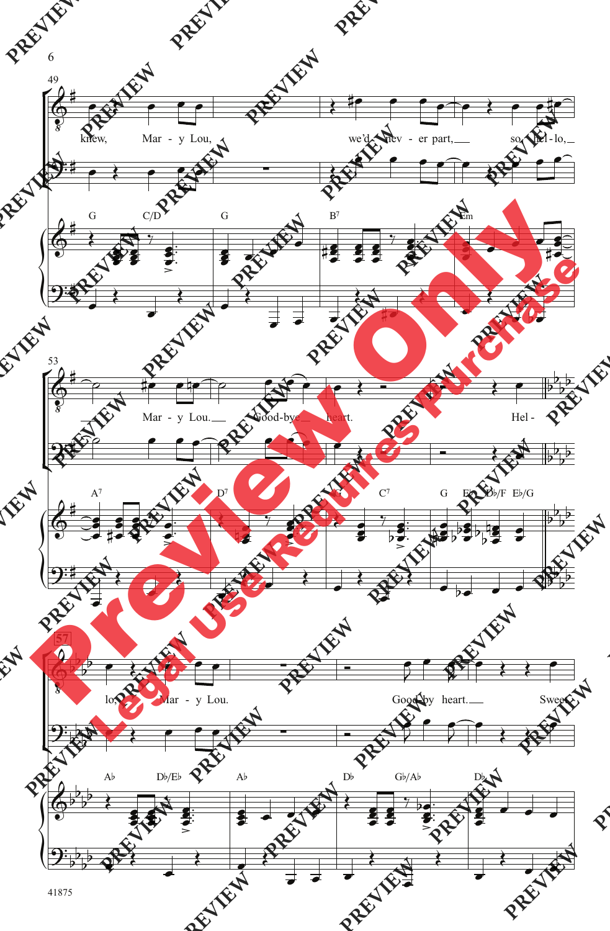

<sup>41875</sup>

6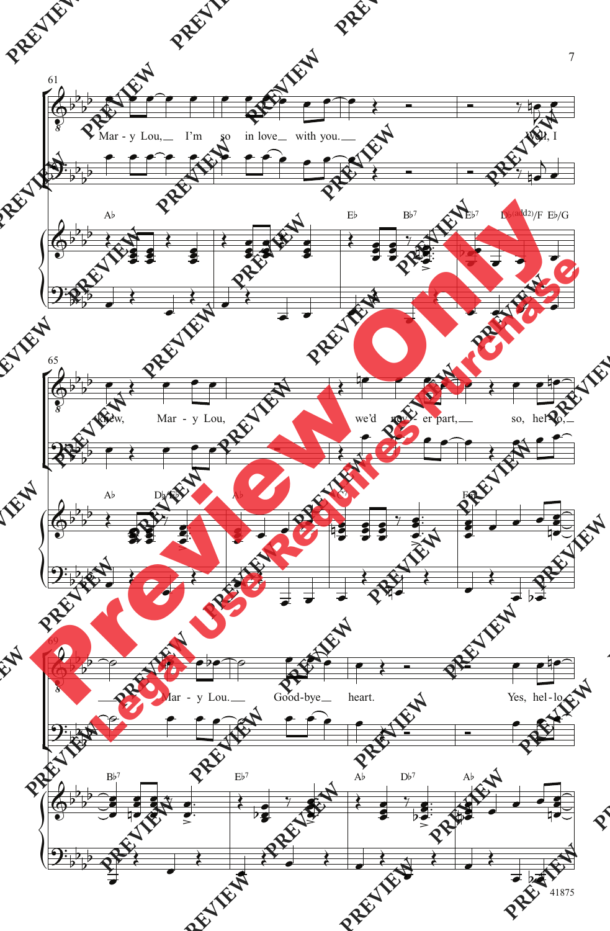